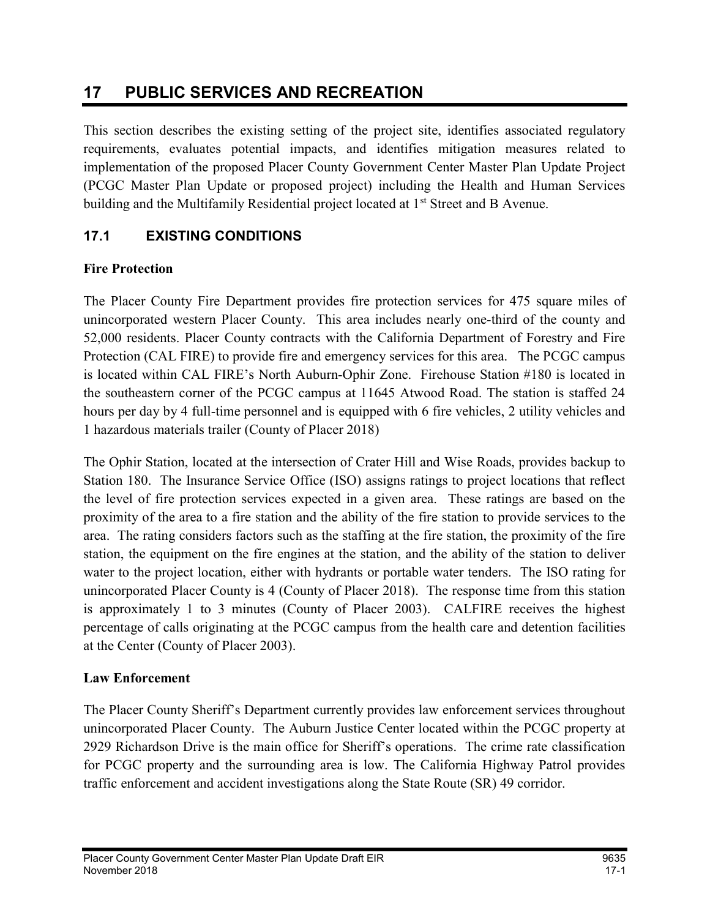# 17 PUBLIC SERVICES AND RECREATION

This section describes the existing setting of the project site, identifies associated regulatory requirements, evaluates potential impacts, and identifies mitigation measures related to implementation of the proposed Placer County Government Center Master Plan Update Project (PCGC Master Plan Update or proposed project) including the Health and Human Services building and the Multifamily Residential project located at 1<sup>st</sup> Street and B Avenue.

# 17.1 EXISTING CONDITIONS

# Fire Protection

The Placer County Fire Department provides fire protection services for 475 square miles of unincorporated western Placer County. This area includes nearly one-third of the county and 52,000 residents. Placer County contracts with the California Department of Forestry and Fire Protection (CAL FIRE) to provide fire and emergency services for this area. The PCGC campus is located within CAL FIRE's North Auburn-Ophir Zone. Firehouse Station #180 is located in the southeastern corner of the PCGC campus at 11645 Atwood Road. The station is staffed 24 hours per day by 4 full-time personnel and is equipped with 6 fire vehicles, 2 utility vehicles and 1 hazardous materials trailer (County of Placer 2018)

The Ophir Station, located at the intersection of Crater Hill and Wise Roads, provides backup to Station 180. The Insurance Service Office (ISO) assigns ratings to project locations that reflect the level of fire protection services expected in a given area. These ratings are based on the proximity of the area to a fire station and the ability of the fire station to provide services to the area. The rating considers factors such as the staffing at the fire station, the proximity of the fire station, the equipment on the fire engines at the station, and the ability of the station to deliver water to the project location, either with hydrants or portable water tenders. The ISO rating for unincorporated Placer County is 4 (County of Placer 2018). The response time from this station is approximately 1 to 3 minutes (County of Placer 2003). CALFIRE receives the highest percentage of calls originating at the PCGC campus from the health care and detention facilities at the Center (County of Placer 2003).

## Law Enforcement

The Placer County Sheriff's Department currently provides law enforcement services throughout unincorporated Placer County. The Auburn Justice Center located within the PCGC property at 2929 Richardson Drive is the main office for Sheriff's operations. The crime rate classification for PCGC property and the surrounding area is low. The California Highway Patrol provides traffic enforcement and accident investigations along the State Route (SR) 49 corridor.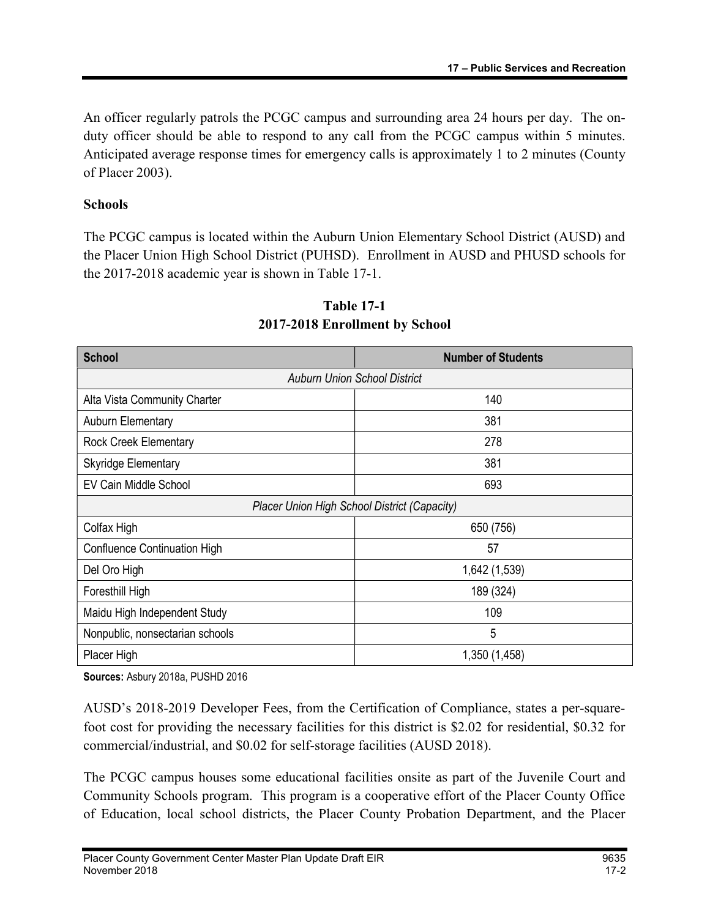An officer regularly patrols the PCGC campus and surrounding area 24 hours per day. The onduty officer should be able to respond to any call from the PCGC campus within 5 minutes. Anticipated average response times for emergency calls is approximately 1 to 2 minutes (County of Placer 2003).

### Schools

The PCGC campus is located within the Auburn Union Elementary School District (AUSD) and the Placer Union High School District (PUHSD). Enrollment in AUSD and PHUSD schools for the 2017-2018 academic year is shown in Table 17-1.

| <b>School</b>                                | <b>Number of Students</b> |  |  |
|----------------------------------------------|---------------------------|--|--|
| <b>Auburn Union School District</b>          |                           |  |  |
| Alta Vista Community Charter                 | 140                       |  |  |
| <b>Auburn Elementary</b>                     | 381                       |  |  |
| Rock Creek Elementary                        | 278                       |  |  |
| <b>Skyridge Elementary</b>                   | 381                       |  |  |
| EV Cain Middle School                        | 693                       |  |  |
| Placer Union High School District (Capacity) |                           |  |  |
| Colfax High                                  | 650 (756)                 |  |  |
| Confluence Continuation High                 | 57                        |  |  |
| Del Oro High                                 | 1,642 (1,539)             |  |  |
| Foresthill High                              | 189 (324)                 |  |  |
| 109<br>Maidu High Independent Study          |                           |  |  |
| Nonpublic, nonsectarian schools              | 5                         |  |  |
| Placer High                                  | 1,350 (1,458)             |  |  |

# Table 17-1 2017-2018 Enrollment by School

Sources: Asbury 2018a, PUSHD 2016

AUSD's 2018-2019 Developer Fees, from the Certification of Compliance, states a per-squarefoot cost for providing the necessary facilities for this district is \$2.02 for residential, \$0.32 for commercial/industrial, and \$0.02 for self-storage facilities (AUSD 2018).

The PCGC campus houses some educational facilities onsite as part of the Juvenile Court and Community Schools program. This program is a cooperative effort of the Placer County Office of Education, local school districts, the Placer County Probation Department, and the Placer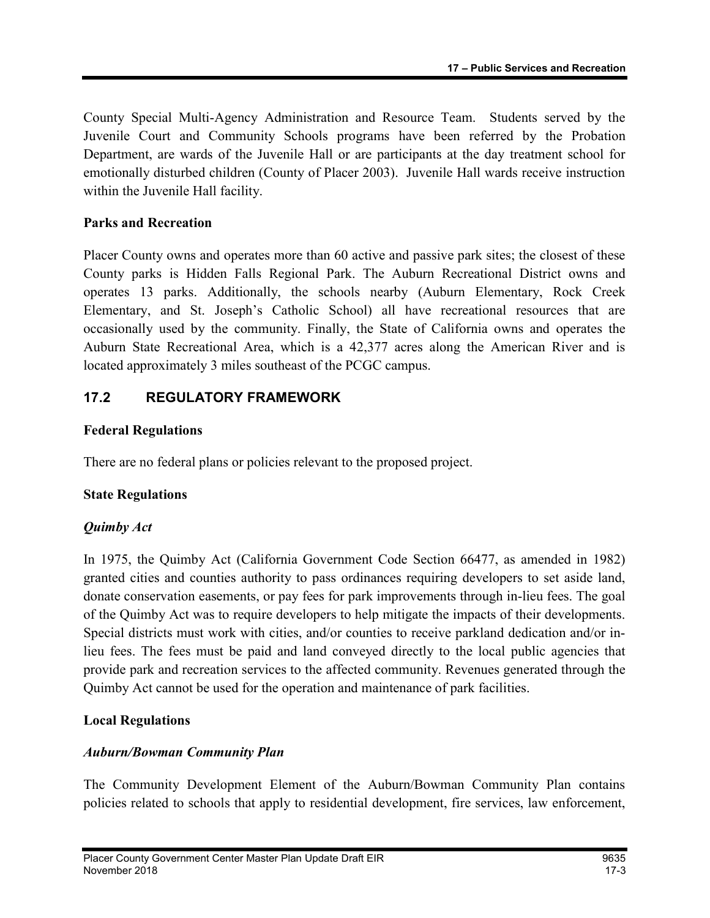County Special Multi-Agency Administration and Resource Team. Students served by the Juvenile Court and Community Schools programs have been referred by the Probation Department, are wards of the Juvenile Hall or are participants at the day treatment school for emotionally disturbed children (County of Placer 2003). Juvenile Hall wards receive instruction within the Juvenile Hall facility.

#### Parks and Recreation

Placer County owns and operates more than 60 active and passive park sites; the closest of these County parks is Hidden Falls Regional Park. The Auburn Recreational District owns and operates 13 parks. Additionally, the schools nearby (Auburn Elementary, Rock Creek Elementary, and St. Joseph's Catholic School) all have recreational resources that are occasionally used by the community. Finally, the State of California owns and operates the Auburn State Recreational Area, which is a 42,377 acres along the American River and is located approximately 3 miles southeast of the PCGC campus.

# 17.2 REGULATORY FRAMEWORK

#### Federal Regulations

There are no federal plans or policies relevant to the proposed project.

## State Regulations

#### Quimby Act

In 1975, the Quimby Act (California Government Code Section 66477, as amended in 1982) granted cities and counties authority to pass ordinances requiring developers to set aside land, donate conservation easements, or pay fees for park improvements through in-lieu fees. The goal of the Quimby Act was to require developers to help mitigate the impacts of their developments. Special districts must work with cities, and/or counties to receive parkland dedication and/or inlieu fees. The fees must be paid and land conveyed directly to the local public agencies that provide park and recreation services to the affected community. Revenues generated through the Quimby Act cannot be used for the operation and maintenance of park facilities.

#### Local Regulations

#### Auburn/Bowman Community Plan

The Community Development Element of the Auburn/Bowman Community Plan contains policies related to schools that apply to residential development, fire services, law enforcement,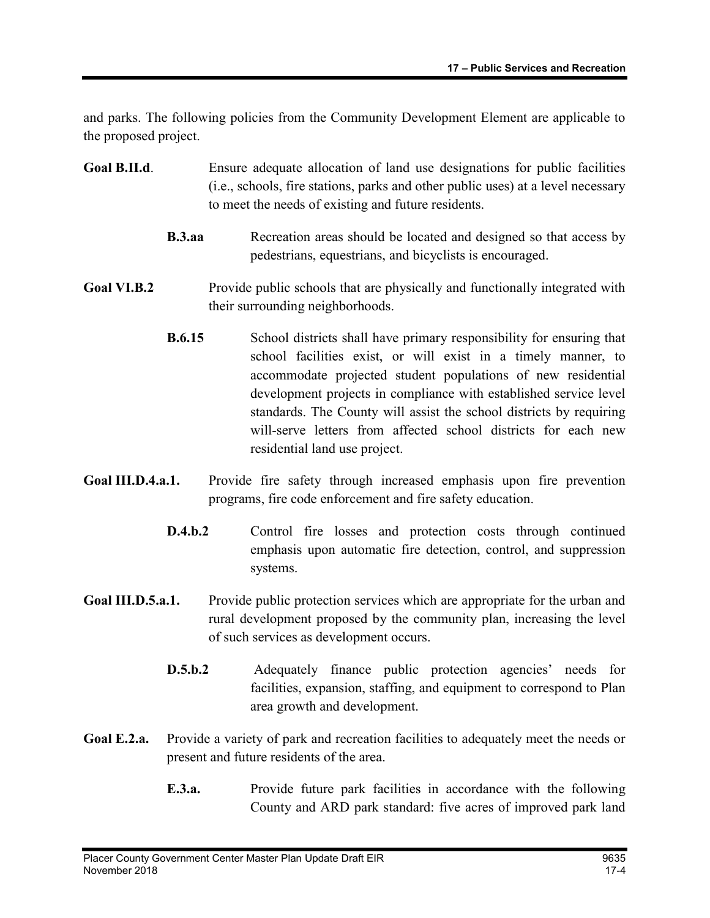and parks. The following policies from the Community Development Element are applicable to the proposed project.

- Goal B.II.d. Ensure adequate allocation of land use designations for public facilities (i.e., schools, fire stations, parks and other public uses) at a level necessary to meet the needs of existing and future residents.
	- **B.3.aa** Recreation areas should be located and designed so that access by pedestrians, equestrians, and bicyclists is encouraged.

# Goal VI.B.2 Provide public schools that are physically and functionally integrated with their surrounding neighborhoods.

- **B.6.15** School districts shall have primary responsibility for ensuring that school facilities exist, or will exist in a timely manner, to accommodate projected student populations of new residential development projects in compliance with established service level standards. The County will assist the school districts by requiring will-serve letters from affected school districts for each new residential land use project.
- Goal III.D.4.a.1. Provide fire safety through increased emphasis upon fire prevention programs, fire code enforcement and fire safety education.
	- D.4.b.2 Control fire losses and protection costs through continued emphasis upon automatic fire detection, control, and suppression systems.
- Goal III.D.5.a.1. Provide public protection services which are appropriate for the urban and rural development proposed by the community plan, increasing the level of such services as development occurs.
	- D.5.b.2 Adequately finance public protection agencies' needs for facilities, expansion, staffing, and equipment to correspond to Plan area growth and development.
- Goal E.2.a. Provide a variety of park and recreation facilities to adequately meet the needs or present and future residents of the area.
	- E.3.a. Provide future park facilities in accordance with the following County and ARD park standard: five acres of improved park land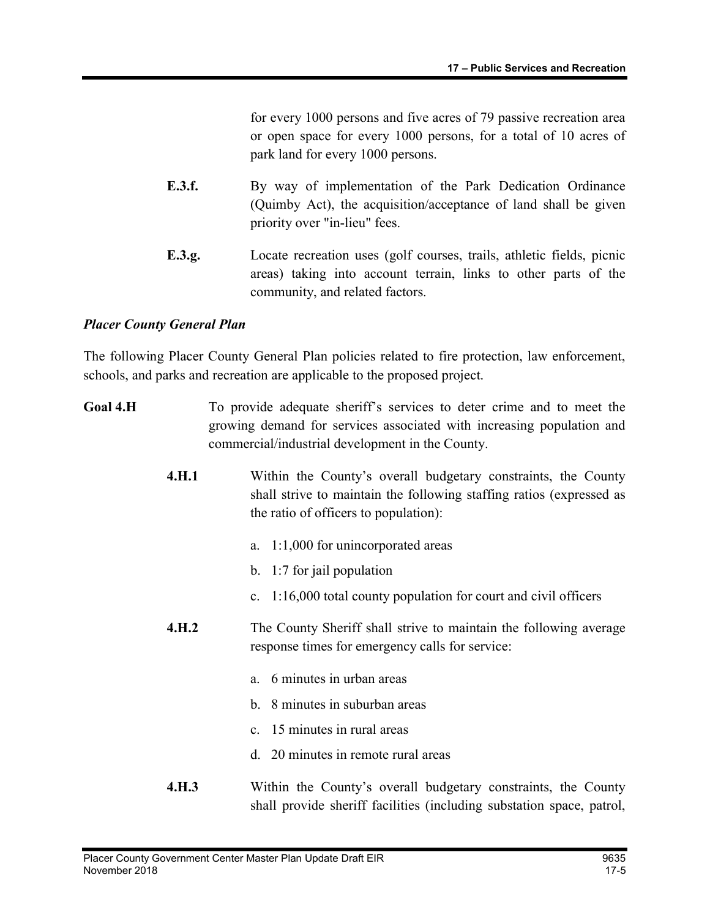for every 1000 persons and five acres of 79 passive recreation area or open space for every 1000 persons, for a total of 10 acres of park land for every 1000 persons.

- E.3.f. By way of implementation of the Park Dedication Ordinance (Quimby Act), the acquisition/acceptance of land shall be given priority over "in-lieu" fees.
- E.3.g. Locate recreation uses (golf courses, trails, athletic fields, picnic areas) taking into account terrain, links to other parts of the community, and related factors.

#### Placer County General Plan

The following Placer County General Plan policies related to fire protection, law enforcement, schools, and parks and recreation are applicable to the proposed project.

- Goal 4.H To provide adequate sheriff's services to deter crime and to meet the growing demand for services associated with increasing population and commercial/industrial development in the County.
	- 4.H.1 Within the County's overall budgetary constraints, the County shall strive to maintain the following staffing ratios (expressed as the ratio of officers to population):
		- a. 1:1,000 for unincorporated areas
		- b. 1:7 for jail population
		- c. 1:16,000 total county population for court and civil officers
	- **4.H.2** The County Sheriff shall strive to maintain the following average response times for emergency calls for service:
		- a. 6 minutes in urban areas
		- b. 8 minutes in suburban areas
		- c. 15 minutes in rural areas
		- d. 20 minutes in remote rural areas
	- **4.H.3** Within the County's overall budgetary constraints, the County shall provide sheriff facilities (including substation space, patrol,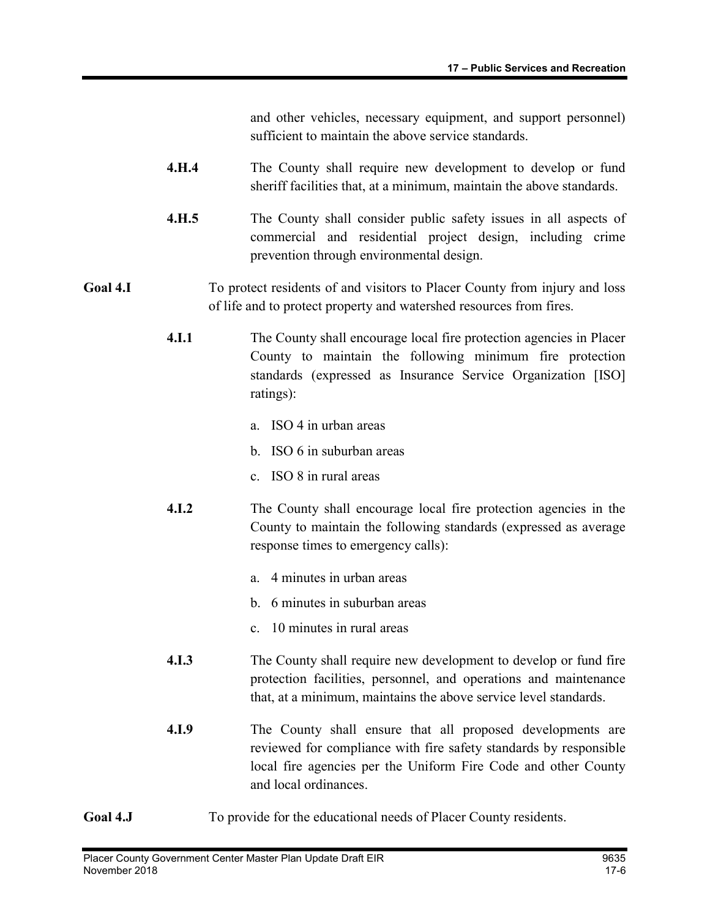and other vehicles, necessary equipment, and support personnel) sufficient to maintain the above service standards.

- 4.H.4 The County shall require new development to develop or fund sheriff facilities that, at a minimum, maintain the above standards.
- 4.H.5 The County shall consider public safety issues in all aspects of commercial and residential project design, including crime prevention through environmental design.

## Goal 4.I To protect residents of and visitors to Placer County from injury and loss of life and to protect property and watershed resources from fires.

- 4.I.1 The County shall encourage local fire protection agencies in Placer County to maintain the following minimum fire protection standards (expressed as Insurance Service Organization [ISO] ratings):
	- a. ISO 4 in urban areas
	- b. ISO 6 in suburban areas
	- c. ISO 8 in rural areas
- 4.I.2 The County shall encourage local fire protection agencies in the County to maintain the following standards (expressed as average response times to emergency calls):
	- a. 4 minutes in urban areas
	- b. 6 minutes in suburban areas
	- c. 10 minutes in rural areas
- 4.I.3 The County shall require new development to develop or fund fire protection facilities, personnel, and operations and maintenance that, at a minimum, maintains the above service level standards.
- 4.I.9 The County shall ensure that all proposed developments are reviewed for compliance with fire safety standards by responsible local fire agencies per the Uniform Fire Code and other County and local ordinances.
- Goal 4.J To provide for the educational needs of Placer County residents.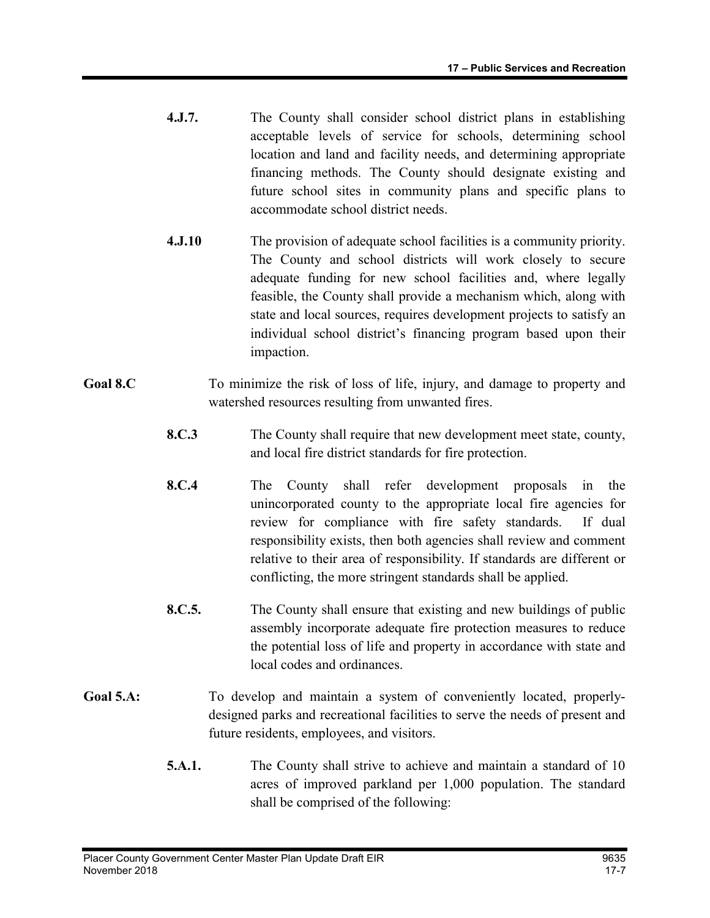- 4.J.7. The County shall consider school district plans in establishing acceptable levels of service for schools, determining school location and land and facility needs, and determining appropriate financing methods. The County should designate existing and future school sites in community plans and specific plans to accommodate school district needs.
- 4.J.10 The provision of adequate school facilities is a community priority. The County and school districts will work closely to secure adequate funding for new school facilities and, where legally feasible, the County shall provide a mechanism which, along with state and local sources, requires development projects to satisfy an individual school district's financing program based upon their impaction.
- Goal 8.C To minimize the risk of loss of life, injury, and damage to property and watershed resources resulting from unwanted fires.
	- 8.C.3 The County shall require that new development meet state, county, and local fire district standards for fire protection.
	- 8.C.4 The County shall refer development proposals in the unincorporated county to the appropriate local fire agencies for review for compliance with fire safety standards. If dual responsibility exists, then both agencies shall review and comment relative to their area of responsibility. If standards are different or conflicting, the more stringent standards shall be applied.
	- 8.C.5. The County shall ensure that existing and new buildings of public assembly incorporate adequate fire protection measures to reduce the potential loss of life and property in accordance with state and local codes and ordinances.
- Goal 5.A: To develop and maintain a system of conveniently located, properlydesigned parks and recreational facilities to serve the needs of present and future residents, employees, and visitors.
	- 5.A.1. The County shall strive to achieve and maintain a standard of 10 acres of improved parkland per 1,000 population. The standard shall be comprised of the following: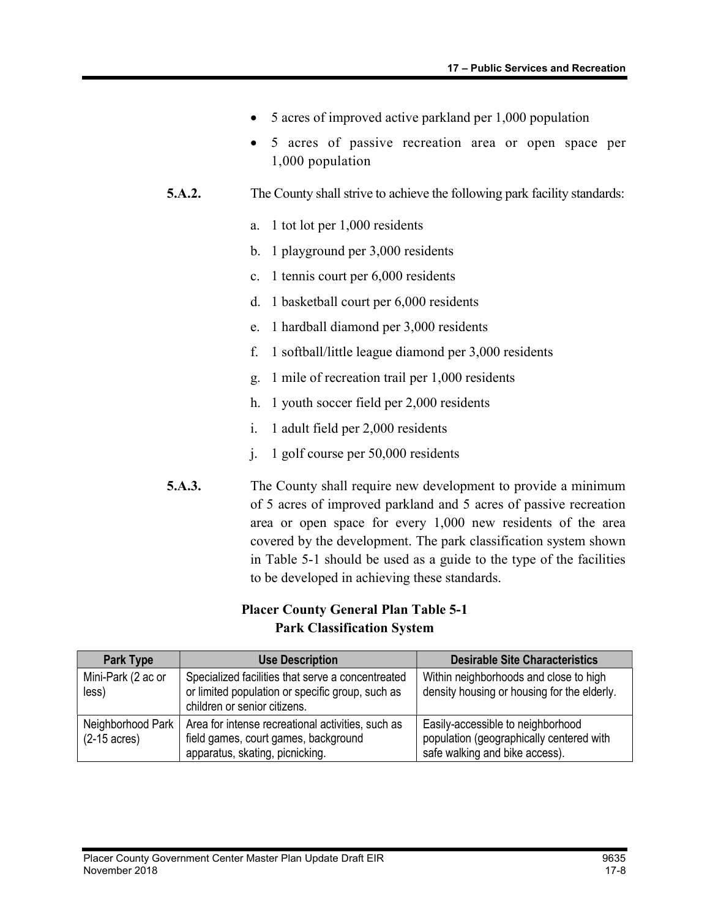- 5 acres of improved active parkland per 1,000 population
- 5 acres of passive recreation area or open space per 1,000 population
- 5.A.2. The County shall strive to achieve the following park facility standards:
	- a. 1 tot lot per 1,000 residents
	- b. 1 playground per 3,000 residents
	- c. 1 tennis court per 6,000 residents
	- d. 1 basketball court per 6,000 residents
	- e. 1 hardball diamond per 3,000 residents
	- f. 1 softball/little league diamond per 3,000 residents
	- g. 1 mile of recreation trail per 1,000 residents
	- h. 1 youth soccer field per 2,000 residents
	- i. 1 adult field per 2,000 residents
	- j. 1 golf course per 50,000 residents
- 5.A.3. The County shall require new development to provide a minimum of 5 acres of improved parkland and 5 acres of passive recreation area or open space for every 1,000 new residents of the area covered by the development. The park classification system shown in Table 5-1 should be used as a guide to the type of the facilities to be developed in achieving these standards.

#### Placer County General Plan Table 5-1 Park Classification System

| Park Type                                   | <b>Use Description</b>                                                                                                                | <b>Desirable Site Characteristics</b>                                                                           |
|---------------------------------------------|---------------------------------------------------------------------------------------------------------------------------------------|-----------------------------------------------------------------------------------------------------------------|
| Mini-Park (2 ac or<br>less)                 | Specialized facilities that serve a concentreated<br>or limited population or specific group, such as<br>children or senior citizens. | Within neighborhoods and close to high<br>density housing or housing for the elderly.                           |
| Neighborhood Park<br>$(2-15 \text{ acres})$ | Area for intense recreational activities, such as<br>field games, court games, background<br>apparatus, skating, picnicking.          | Easily-accessible to neighborhood<br>population (geographically centered with<br>safe walking and bike access). |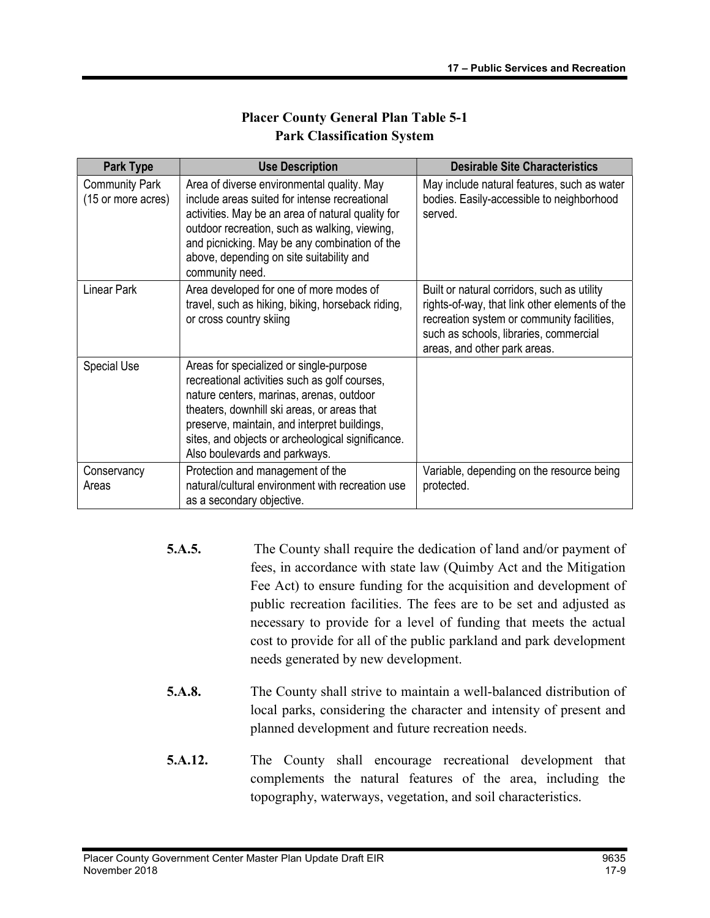### Placer County General Plan Table 5-1 Park Classification System

| <b>Park Type</b>                            | <b>Use Description</b>                                                                                                                                                                                                                                                                                                    | <b>Desirable Site Characteristics</b>                                                                                                                                                                                 |
|---------------------------------------------|---------------------------------------------------------------------------------------------------------------------------------------------------------------------------------------------------------------------------------------------------------------------------------------------------------------------------|-----------------------------------------------------------------------------------------------------------------------------------------------------------------------------------------------------------------------|
| <b>Community Park</b><br>(15 or more acres) | Area of diverse environmental quality. May<br>include areas suited for intense recreational<br>activities. May be an area of natural quality for<br>outdoor recreation, such as walking, viewing,<br>and picnicking. May be any combination of the<br>above, depending on site suitability and<br>community need.         | May include natural features, such as water<br>bodies. Easily-accessible to neighborhood<br>served.                                                                                                                   |
| <b>Linear Park</b>                          | Area developed for one of more modes of<br>travel, such as hiking, biking, horseback riding,<br>or cross country skiing                                                                                                                                                                                                   | Built or natural corridors, such as utility<br>rights-of-way, that link other elements of the<br>recreation system or community facilities,<br>such as schools, libraries, commercial<br>areas, and other park areas. |
| <b>Special Use</b>                          | Areas for specialized or single-purpose<br>recreational activities such as golf courses,<br>nature centers, marinas, arenas, outdoor<br>theaters, downhill ski areas, or areas that<br>preserve, maintain, and interpret buildings,<br>sites, and objects or archeological significance.<br>Also boulevards and parkways. |                                                                                                                                                                                                                       |
| Conservancy<br>Areas                        | Protection and management of the<br>natural/cultural environment with recreation use<br>as a secondary objective.                                                                                                                                                                                                         | Variable, depending on the resource being<br>protected.                                                                                                                                                               |

- 5.A.5. The County shall require the dedication of land and/or payment of fees, in accordance with state law (Quimby Act and the Mitigation Fee Act) to ensure funding for the acquisition and development of public recreation facilities. The fees are to be set and adjusted as necessary to provide for a level of funding that meets the actual cost to provide for all of the public parkland and park development needs generated by new development.
- 5.A.8. The County shall strive to maintain a well-balanced distribution of local parks, considering the character and intensity of present and planned development and future recreation needs.
- 5.A.12. The County shall encourage recreational development that complements the natural features of the area, including the topography, waterways, vegetation, and soil characteristics.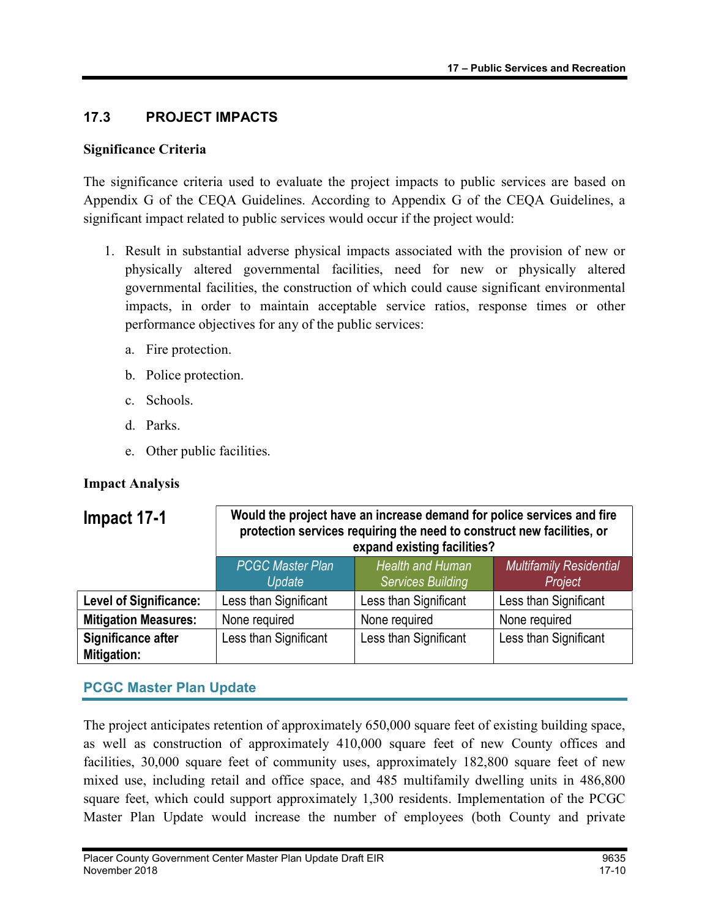# 17.3 PROJECT IMPACTS

#### Significance Criteria

The significance criteria used to evaluate the project impacts to public services are based on Appendix G of the CEQA Guidelines. According to Appendix G of the CEQA Guidelines, a significant impact related to public services would occur if the project would:

- 1. Result in substantial adverse physical impacts associated with the provision of new or physically altered governmental facilities, need for new or physically altered governmental facilities, the construction of which could cause significant environmental impacts, in order to maintain acceptable service ratios, response times or other performance objectives for any of the public services:
	- a. Fire protection.
	- b. Police protection.
	- c. Schools.
	- d. Parks.
	- e. Other public facilities.

#### Impact Analysis

| Impact 17-1                              | Would the project have an increase demand for police services and fire<br>protection services requiring the need to construct new facilities, or<br>expand existing facilities? |                                              |                                           |
|------------------------------------------|---------------------------------------------------------------------------------------------------------------------------------------------------------------------------------|----------------------------------------------|-------------------------------------------|
|                                          | <b>PCGC Master Plan</b><br>Update                                                                                                                                               | Health and Human<br><b>Services Building</b> | <b>Multifamily Residential</b><br>Project |
| <b>Level of Significance:</b>            | Less than Significant                                                                                                                                                           | Less than Significant                        | Less than Significant                     |
| <b>Mitigation Measures:</b>              | None required                                                                                                                                                                   | None required                                | None required                             |
| Significance after<br><b>Mitigation:</b> | Less than Significant                                                                                                                                                           | Less than Significant                        | Less than Significant                     |

# PCGC Master Plan Update

The project anticipates retention of approximately 650,000 square feet of existing building space, as well as construction of approximately 410,000 square feet of new County offices and facilities, 30,000 square feet of community uses, approximately 182,800 square feet of new mixed use, including retail and office space, and 485 multifamily dwelling units in 486,800 square feet, which could support approximately 1,300 residents. Implementation of the PCGC Master Plan Update would increase the number of employees (both County and private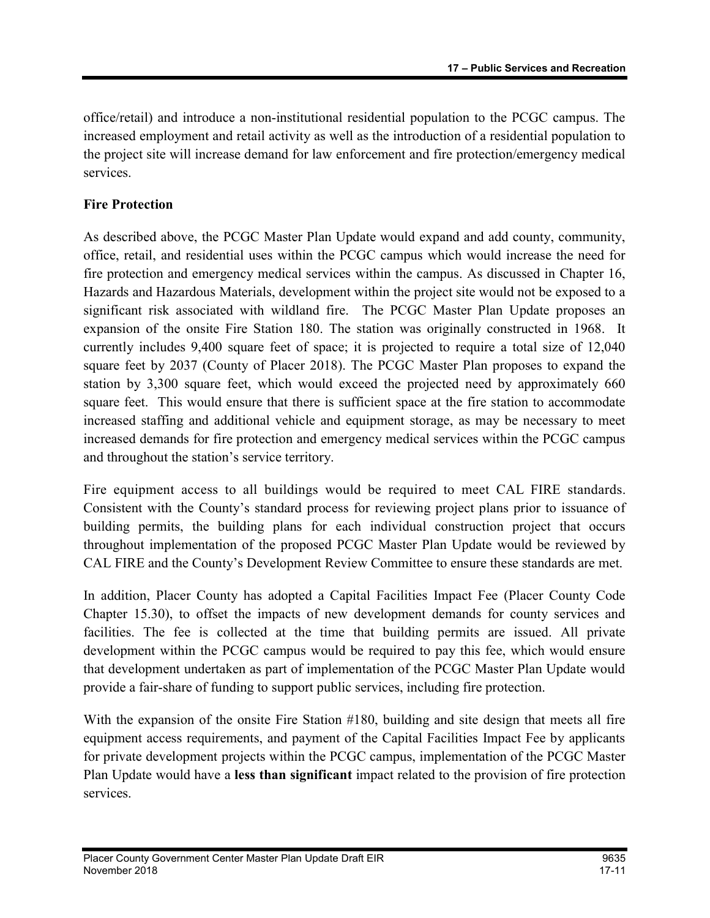office/retail) and introduce a non-institutional residential population to the PCGC campus. The increased employment and retail activity as well as the introduction of a residential population to the project site will increase demand for law enforcement and fire protection/emergency medical services.

# Fire Protection

As described above, the PCGC Master Plan Update would expand and add county, community, office, retail, and residential uses within the PCGC campus which would increase the need for fire protection and emergency medical services within the campus. As discussed in Chapter 16, Hazards and Hazardous Materials, development within the project site would not be exposed to a significant risk associated with wildland fire. The PCGC Master Plan Update proposes an expansion of the onsite Fire Station 180. The station was originally constructed in 1968. It currently includes 9,400 square feet of space; it is projected to require a total size of 12,040 square feet by 2037 (County of Placer 2018). The PCGC Master Plan proposes to expand the station by 3,300 square feet, which would exceed the projected need by approximately 660 square feet. This would ensure that there is sufficient space at the fire station to accommodate increased staffing and additional vehicle and equipment storage, as may be necessary to meet increased demands for fire protection and emergency medical services within the PCGC campus and throughout the station's service territory.

Fire equipment access to all buildings would be required to meet CAL FIRE standards. Consistent with the County's standard process for reviewing project plans prior to issuance of building permits, the building plans for each individual construction project that occurs throughout implementation of the proposed PCGC Master Plan Update would be reviewed by CAL FIRE and the County's Development Review Committee to ensure these standards are met.

In addition, Placer County has adopted a Capital Facilities Impact Fee (Placer County Code Chapter 15.30), to offset the impacts of new development demands for county services and facilities. The fee is collected at the time that building permits are issued. All private development within the PCGC campus would be required to pay this fee, which would ensure that development undertaken as part of implementation of the PCGC Master Plan Update would provide a fair-share of funding to support public services, including fire protection.

With the expansion of the onsite Fire Station #180, building and site design that meets all fire equipment access requirements, and payment of the Capital Facilities Impact Fee by applicants for private development projects within the PCGC campus, implementation of the PCGC Master Plan Update would have a less than significant impact related to the provision of fire protection services.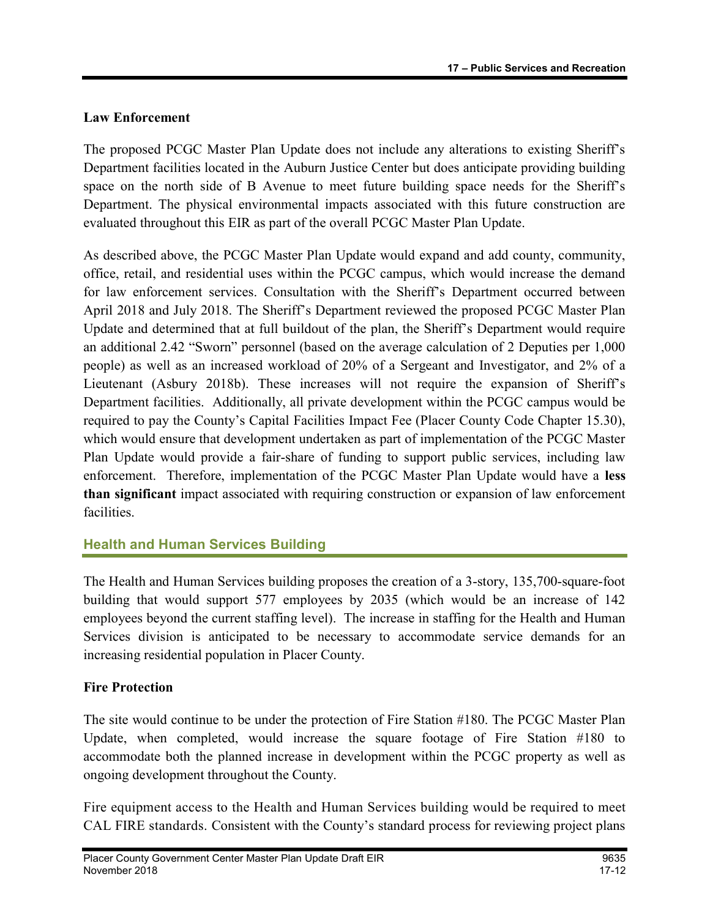# Law Enforcement

The proposed PCGC Master Plan Update does not include any alterations to existing Sheriff's Department facilities located in the Auburn Justice Center but does anticipate providing building space on the north side of B Avenue to meet future building space needs for the Sheriff's Department. The physical environmental impacts associated with this future construction are evaluated throughout this EIR as part of the overall PCGC Master Plan Update.

As described above, the PCGC Master Plan Update would expand and add county, community, office, retail, and residential uses within the PCGC campus, which would increase the demand for law enforcement services. Consultation with the Sheriff's Department occurred between April 2018 and July 2018. The Sheriff's Department reviewed the proposed PCGC Master Plan Update and determined that at full buildout of the plan, the Sheriff's Department would require an additional 2.42 "Sworn" personnel (based on the average calculation of 2 Deputies per 1,000 people) as well as an increased workload of 20% of a Sergeant and Investigator, and 2% of a Lieutenant (Asbury 2018b). These increases will not require the expansion of Sheriff's Department facilities. Additionally, all private development within the PCGC campus would be required to pay the County's Capital Facilities Impact Fee (Placer County Code Chapter 15.30), which would ensure that development undertaken as part of implementation of the PCGC Master Plan Update would provide a fair-share of funding to support public services, including law enforcement. Therefore, implementation of the PCGC Master Plan Update would have a less than significant impact associated with requiring construction or expansion of law enforcement facilities.

# Health and Human Services Building

The Health and Human Services building proposes the creation of a 3-story, 135,700-square-foot building that would support 577 employees by 2035 (which would be an increase of 142 employees beyond the current staffing level). The increase in staffing for the Health and Human Services division is anticipated to be necessary to accommodate service demands for an increasing residential population in Placer County.

# Fire Protection

The site would continue to be under the protection of Fire Station #180. The PCGC Master Plan Update, when completed, would increase the square footage of Fire Station #180 to accommodate both the planned increase in development within the PCGC property as well as ongoing development throughout the County.

Fire equipment access to the Health and Human Services building would be required to meet CAL FIRE standards. Consistent with the County's standard process for reviewing project plans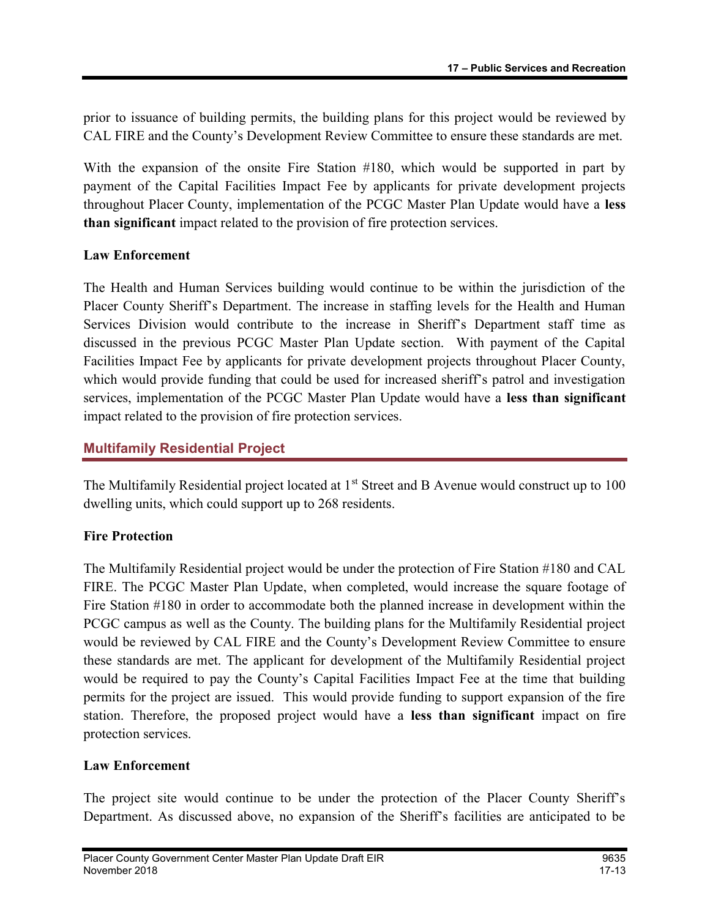prior to issuance of building permits, the building plans for this project would be reviewed by CAL FIRE and the County's Development Review Committee to ensure these standards are met.

With the expansion of the onsite Fire Station #180, which would be supported in part by payment of the Capital Facilities Impact Fee by applicants for private development projects throughout Placer County, implementation of the PCGC Master Plan Update would have a less than significant impact related to the provision of fire protection services.

#### Law Enforcement

The Health and Human Services building would continue to be within the jurisdiction of the Placer County Sheriff's Department. The increase in staffing levels for the Health and Human Services Division would contribute to the increase in Sheriff's Department staff time as discussed in the previous PCGC Master Plan Update section. With payment of the Capital Facilities Impact Fee by applicants for private development projects throughout Placer County, which would provide funding that could be used for increased sheriff's patrol and investigation services, implementation of the PCGC Master Plan Update would have a less than significant impact related to the provision of fire protection services.

## Multifamily Residential Project

The Multifamily Residential project located at 1<sup>st</sup> Street and B Avenue would construct up to 100 dwelling units, which could support up to 268 residents.

## Fire Protection

The Multifamily Residential project would be under the protection of Fire Station #180 and CAL FIRE. The PCGC Master Plan Update, when completed, would increase the square footage of Fire Station #180 in order to accommodate both the planned increase in development within the PCGC campus as well as the County. The building plans for the Multifamily Residential project would be reviewed by CAL FIRE and the County's Development Review Committee to ensure these standards are met. The applicant for development of the Multifamily Residential project would be required to pay the County's Capital Facilities Impact Fee at the time that building permits for the project are issued. This would provide funding to support expansion of the fire station. Therefore, the proposed project would have a less than significant impact on fire protection services.

#### Law Enforcement

The project site would continue to be under the protection of the Placer County Sheriff's Department. As discussed above, no expansion of the Sheriff's facilities are anticipated to be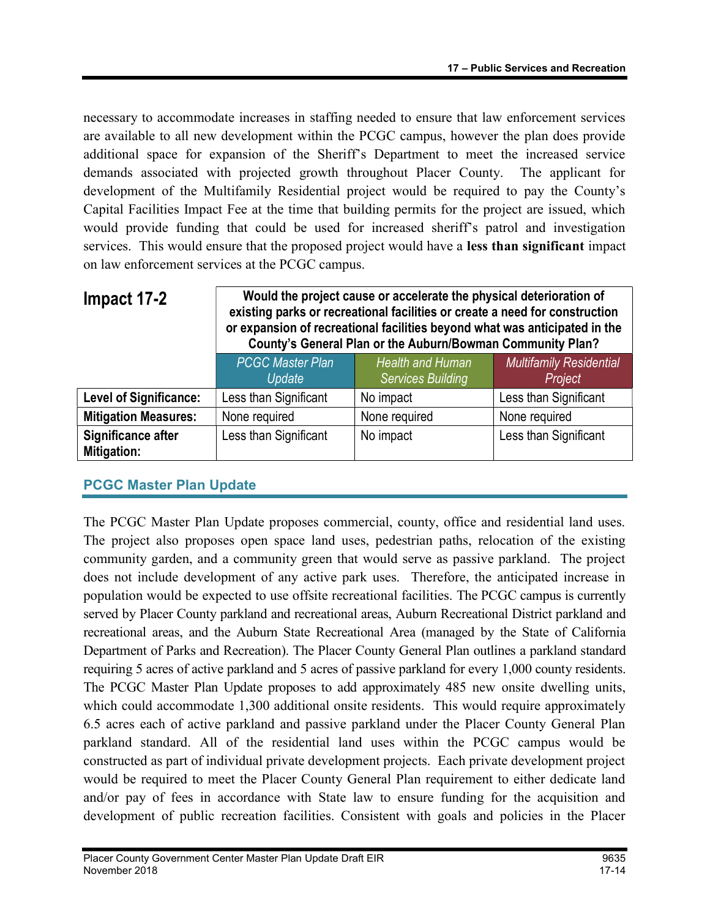necessary to accommodate increases in staffing needed to ensure that law enforcement services are available to all new development within the PCGC campus, however the plan does provide additional space for expansion of the Sheriff's Department to meet the increased service demands associated with projected growth throughout Placer County. The applicant for development of the Multifamily Residential project would be required to pay the County's Capital Facilities Impact Fee at the time that building permits for the project are issued, which would provide funding that could be used for increased sheriff's patrol and investigation services. This would ensure that the proposed project would have a less than significant impact on law enforcement services at the PCGC campus.

| Impact 17-2                       | Would the project cause or accelerate the physical deterioration of<br>existing parks or recreational facilities or create a need for construction<br>or expansion of recreational facilities beyond what was anticipated in the<br>County's General Plan or the Auburn/Bowman Community Plan? |                                              |                                           |
|-----------------------------------|------------------------------------------------------------------------------------------------------------------------------------------------------------------------------------------------------------------------------------------------------------------------------------------------|----------------------------------------------|-------------------------------------------|
|                                   | <b>PCGC Master Plan</b><br>Update                                                                                                                                                                                                                                                              | Health and Human<br><b>Services Building</b> | <b>Multifamily Residential</b><br>Project |
| <b>Level of Significance:</b>     | Less than Significant                                                                                                                                                                                                                                                                          | No impact                                    | Less than Significant                     |
| <b>Mitigation Measures:</b>       | None required                                                                                                                                                                                                                                                                                  | None required                                | None required                             |
| Significance after<br>Mitigation: | Less than Significant                                                                                                                                                                                                                                                                          | No impact                                    | Less than Significant                     |

## PCGC Master Plan Update

The PCGC Master Plan Update proposes commercial, county, office and residential land uses. The project also proposes open space land uses, pedestrian paths, relocation of the existing community garden, and a community green that would serve as passive parkland. The project does not include development of any active park uses. Therefore, the anticipated increase in population would be expected to use offsite recreational facilities. The PCGC campus is currently served by Placer County parkland and recreational areas, Auburn Recreational District parkland and recreational areas, and the Auburn State Recreational Area (managed by the State of California Department of Parks and Recreation). The Placer County General Plan outlines a parkland standard requiring 5 acres of active parkland and 5 acres of passive parkland for every 1,000 county residents. The PCGC Master Plan Update proposes to add approximately 485 new onsite dwelling units, which could accommodate 1,300 additional onsite residents. This would require approximately 6.5 acres each of active parkland and passive parkland under the Placer County General Plan parkland standard. All of the residential land uses within the PCGC campus would be constructed as part of individual private development projects. Each private development project would be required to meet the Placer County General Plan requirement to either dedicate land and/or pay of fees in accordance with State law to ensure funding for the acquisition and development of public recreation facilities. Consistent with goals and policies in the Placer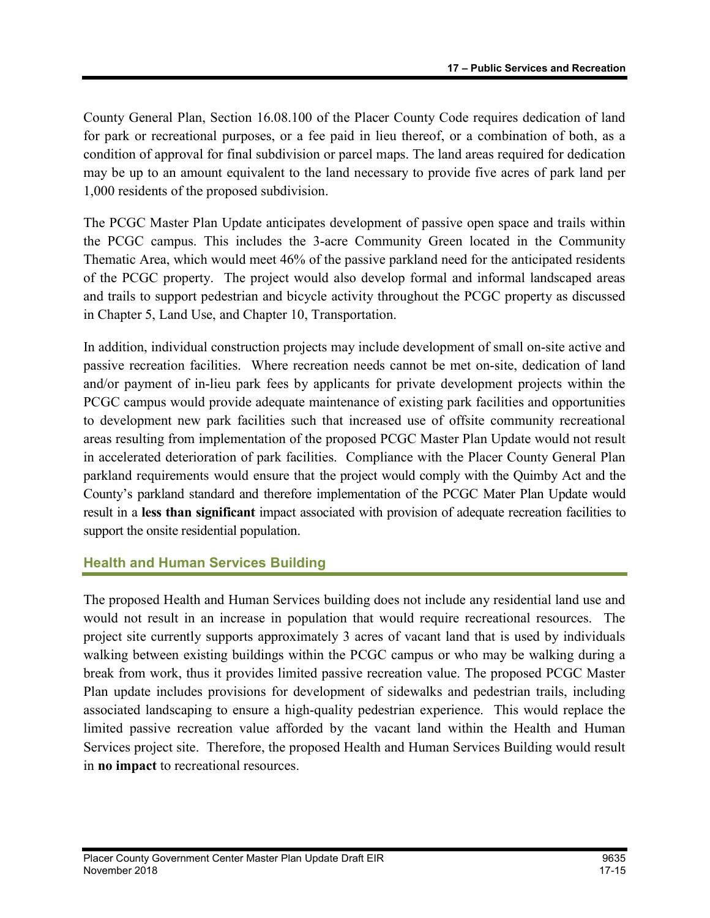County General Plan, Section 16.08.100 of the Placer County Code requires dedication of land for park or recreational purposes, or a fee paid in lieu thereof, or a combination of both, as a condition of approval for final subdivision or parcel maps. The land areas required for dedication may be up to an amount equivalent to the land necessary to provide five acres of park land per 1,000 residents of the proposed subdivision.

The PCGC Master Plan Update anticipates development of passive open space and trails within the PCGC campus. This includes the 3-acre Community Green located in the Community Thematic Area, which would meet 46% of the passive parkland need for the anticipated residents of the PCGC property. The project would also develop formal and informal landscaped areas and trails to support pedestrian and bicycle activity throughout the PCGC property as discussed in Chapter 5, Land Use, and Chapter 10, Transportation.

In addition, individual construction projects may include development of small on-site active and passive recreation facilities. Where recreation needs cannot be met on-site, dedication of land and/or payment of in-lieu park fees by applicants for private development projects within the PCGC campus would provide adequate maintenance of existing park facilities and opportunities to development new park facilities such that increased use of offsite community recreational areas resulting from implementation of the proposed PCGC Master Plan Update would not result in accelerated deterioration of park facilities. Compliance with the Placer County General Plan parkland requirements would ensure that the project would comply with the Quimby Act and the County's parkland standard and therefore implementation of the PCGC Mater Plan Update would result in a less than significant impact associated with provision of adequate recreation facilities to support the onsite residential population.

## Health and Human Services Building

The proposed Health and Human Services building does not include any residential land use and would not result in an increase in population that would require recreational resources. The project site currently supports approximately 3 acres of vacant land that is used by individuals walking between existing buildings within the PCGC campus or who may be walking during a break from work, thus it provides limited passive recreation value. The proposed PCGC Master Plan update includes provisions for development of sidewalks and pedestrian trails, including associated landscaping to ensure a high-quality pedestrian experience. This would replace the limited passive recreation value afforded by the vacant land within the Health and Human Services project site. Therefore, the proposed Health and Human Services Building would result in no impact to recreational resources.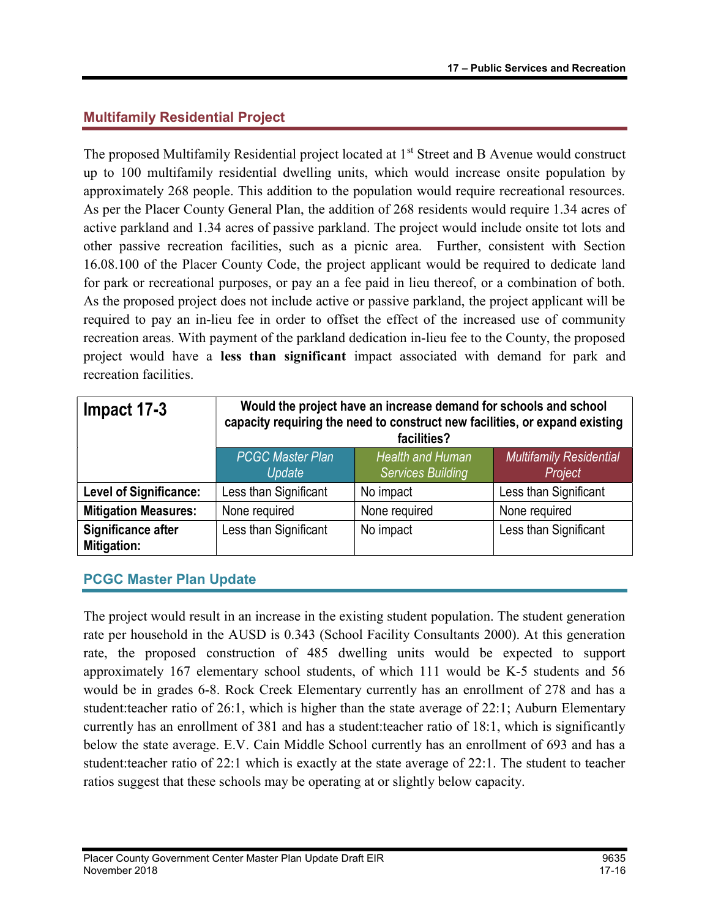# Multifamily Residential Project

The proposed Multifamily Residential project located at 1<sup>st</sup> Street and B Avenue would construct up to 100 multifamily residential dwelling units, which would increase onsite population by approximately 268 people. This addition to the population would require recreational resources. As per the Placer County General Plan, the addition of 268 residents would require 1.34 acres of active parkland and 1.34 acres of passive parkland. The project would include onsite tot lots and other passive recreation facilities, such as a picnic area. Further, consistent with Section 16.08.100 of the Placer County Code, the project applicant would be required to dedicate land for park or recreational purposes, or pay an a fee paid in lieu thereof, or a combination of both. As the proposed project does not include active or passive parkland, the project applicant will be required to pay an in-lieu fee in order to offset the effect of the increased use of community recreation areas. With payment of the parkland dedication in-lieu fee to the County, the proposed project would have a less than significant impact associated with demand for park and recreation facilities.

| Impact 17-3                       | Would the project have an increase demand for schools and school<br>capacity requiring the need to construct new facilities, or expand existing<br>facilities? |                                                     |                                           |
|-----------------------------------|----------------------------------------------------------------------------------------------------------------------------------------------------------------|-----------------------------------------------------|-------------------------------------------|
|                                   | <b>PCGC Master Plan</b><br>Update                                                                                                                              | <b>Health and Human</b><br><b>Services Building</b> | <b>Multifamily Residential</b><br>Project |
| <b>Level of Significance:</b>     | Less than Significant                                                                                                                                          | No impact                                           | Less than Significant                     |
| <b>Mitigation Measures:</b>       | None required                                                                                                                                                  | None required                                       | None required                             |
| Significance after<br>Mitigation: | Less than Significant                                                                                                                                          | No impact                                           | Less than Significant                     |

## PCGC Master Plan Update

The project would result in an increase in the existing student population. The student generation rate per household in the AUSD is 0.343 (School Facility Consultants 2000). At this generation rate, the proposed construction of 485 dwelling units would be expected to support approximately 167 elementary school students, of which 111 would be K-5 students and 56 would be in grades 6-8. Rock Creek Elementary currently has an enrollment of 278 and has a student:teacher ratio of 26:1, which is higher than the state average of 22:1; Auburn Elementary currently has an enrollment of 381 and has a student:teacher ratio of 18:1, which is significantly below the state average. E.V. Cain Middle School currently has an enrollment of 693 and has a student:teacher ratio of 22:1 which is exactly at the state average of 22:1. The student to teacher ratios suggest that these schools may be operating at or slightly below capacity.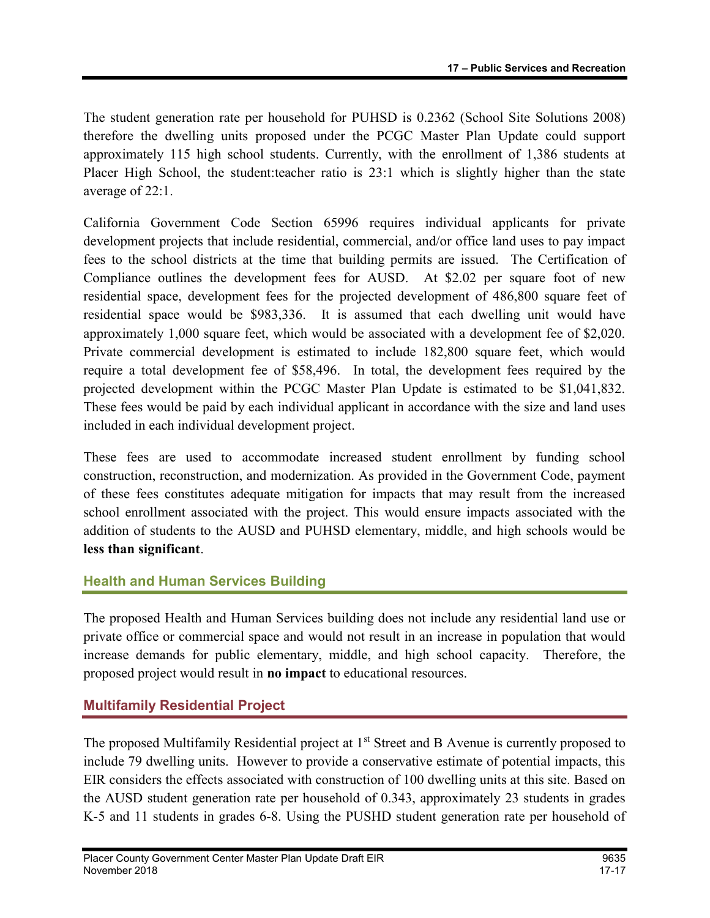The student generation rate per household for PUHSD is 0.2362 (School Site Solutions 2008) therefore the dwelling units proposed under the PCGC Master Plan Update could support approximately 115 high school students. Currently, with the enrollment of 1,386 students at Placer High School, the student:teacher ratio is 23:1 which is slightly higher than the state average of 22:1.

California Government Code Section 65996 requires individual applicants for private development projects that include residential, commercial, and/or office land uses to pay impact fees to the school districts at the time that building permits are issued. The Certification of Compliance outlines the development fees for AUSD. At \$2.02 per square foot of new residential space, development fees for the projected development of 486,800 square feet of residential space would be \$983,336. It is assumed that each dwelling unit would have approximately 1,000 square feet, which would be associated with a development fee of \$2,020. Private commercial development is estimated to include 182,800 square feet, which would require a total development fee of \$58,496. In total, the development fees required by the projected development within the PCGC Master Plan Update is estimated to be \$1,041,832. These fees would be paid by each individual applicant in accordance with the size and land uses included in each individual development project.

These fees are used to accommodate increased student enrollment by funding school construction, reconstruction, and modernization. As provided in the Government Code, payment of these fees constitutes adequate mitigation for impacts that may result from the increased school enrollment associated with the project. This would ensure impacts associated with the addition of students to the AUSD and PUHSD elementary, middle, and high schools would be less than significant.

## Health and Human Services Building

The proposed Health and Human Services building does not include any residential land use or private office or commercial space and would not result in an increase in population that would increase demands for public elementary, middle, and high school capacity. Therefore, the proposed project would result in no impact to educational resources.

## Multifamily Residential Project

The proposed Multifamily Residential project at 1<sup>st</sup> Street and B Avenue is currently proposed to include 79 dwelling units. However to provide a conservative estimate of potential impacts, this EIR considers the effects associated with construction of 100 dwelling units at this site. Based on the AUSD student generation rate per household of 0.343, approximately 23 students in grades K-5 and 11 students in grades 6-8. Using the PUSHD student generation rate per household of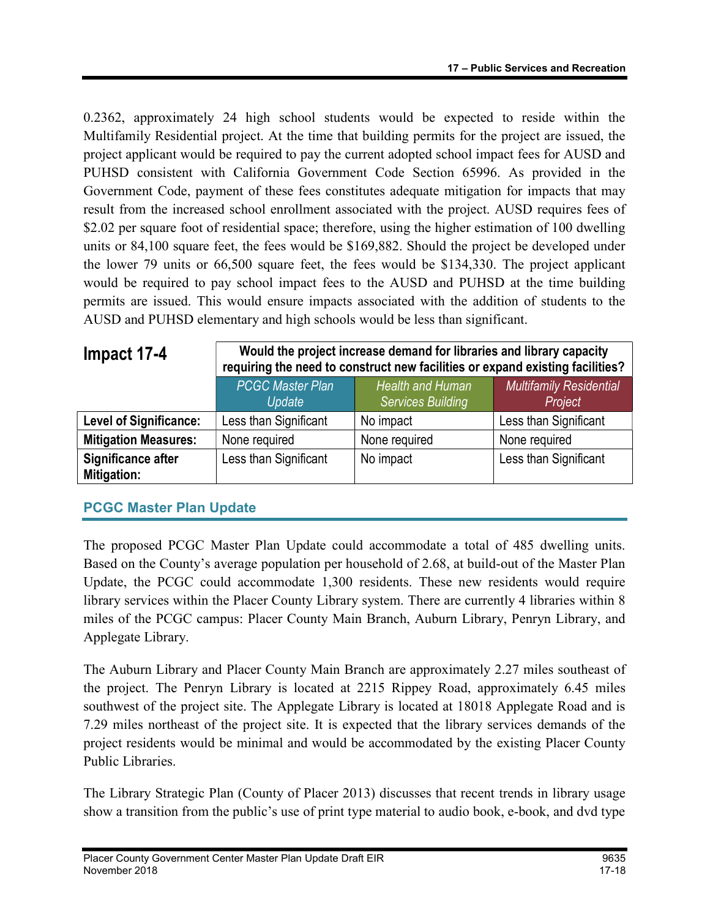0.2362, approximately 24 high school students would be expected to reside within the Multifamily Residential project. At the time that building permits for the project are issued, the project applicant would be required to pay the current adopted school impact fees for AUSD and PUHSD consistent with California Government Code Section 65996. As provided in the Government Code, payment of these fees constitutes adequate mitigation for impacts that may result from the increased school enrollment associated with the project. AUSD requires fees of \$2.02 per square foot of residential space; therefore, using the higher estimation of 100 dwelling units or 84,100 square feet, the fees would be \$169,882. Should the project be developed under the lower 79 units or 66,500 square feet, the fees would be \$134,330. The project applicant would be required to pay school impact fees to the AUSD and PUHSD at the time building permits are issued. This would ensure impacts associated with the addition of students to the AUSD and PUHSD elementary and high schools would be less than significant.

| Impact 17-4                              | Would the project increase demand for libraries and library capacity<br>requiring the need to construct new facilities or expand existing facilities? |                                              |                                           |
|------------------------------------------|-------------------------------------------------------------------------------------------------------------------------------------------------------|----------------------------------------------|-------------------------------------------|
|                                          | <b>PCGC Master Plan</b><br>Update                                                                                                                     | Health and Human<br><b>Services Building</b> | <b>Multifamily Residential</b><br>Project |
| Level of Significance:                   | Less than Significant                                                                                                                                 | No impact                                    | Less than Significant                     |
| <b>Mitigation Measures:</b>              | None required                                                                                                                                         | None required                                | None required                             |
| Significance after<br><b>Mitigation:</b> | Less than Significant                                                                                                                                 | No impact                                    | Less than Significant                     |

# PCGC Master Plan Update

The proposed PCGC Master Plan Update could accommodate a total of 485 dwelling units. Based on the County's average population per household of 2.68, at build-out of the Master Plan Update, the PCGC could accommodate 1,300 residents. These new residents would require library services within the Placer County Library system. There are currently 4 libraries within 8 miles of the PCGC campus: Placer County Main Branch, Auburn Library, Penryn Library, and Applegate Library.

The Auburn Library and Placer County Main Branch are approximately 2.27 miles southeast of the project. The Penryn Library is located at 2215 Rippey Road, approximately 6.45 miles southwest of the project site. The Applegate Library is located at 18018 Applegate Road and is 7.29 miles northeast of the project site. It is expected that the library services demands of the project residents would be minimal and would be accommodated by the existing Placer County Public Libraries.

The Library Strategic Plan (County of Placer 2013) discusses that recent trends in library usage show a transition from the public's use of print type material to audio book, e-book, and dvd type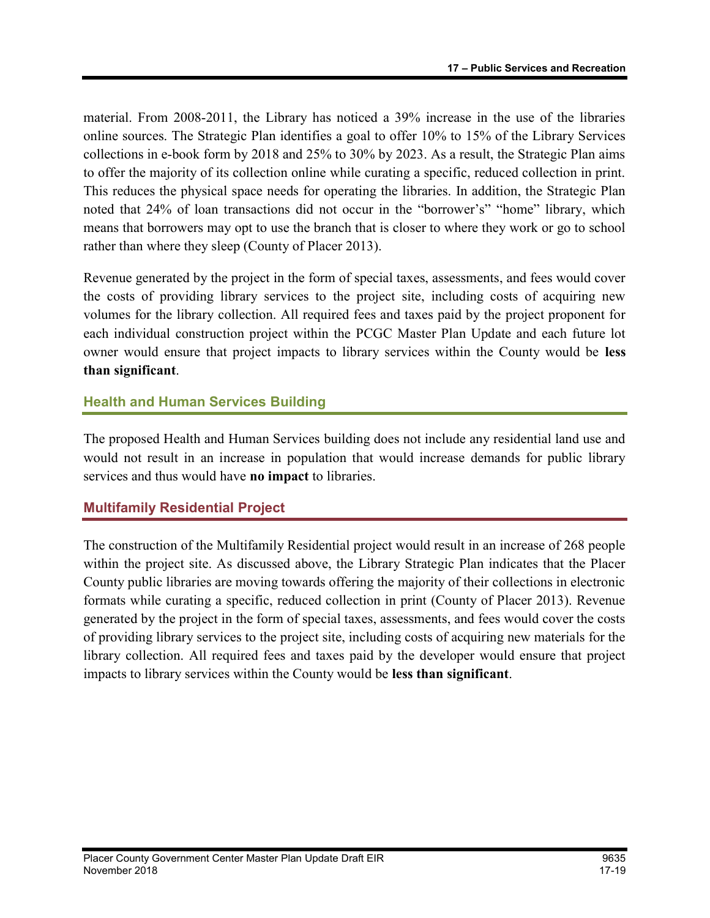material. From 2008-2011, the Library has noticed a 39% increase in the use of the libraries online sources. The Strategic Plan identifies a goal to offer 10% to 15% of the Library Services collections in e-book form by 2018 and 25% to 30% by 2023. As a result, the Strategic Plan aims to offer the majority of its collection online while curating a specific, reduced collection in print. This reduces the physical space needs for operating the libraries. In addition, the Strategic Plan noted that 24% of loan transactions did not occur in the "borrower's" "home" library, which means that borrowers may opt to use the branch that is closer to where they work or go to school rather than where they sleep (County of Placer 2013).

Revenue generated by the project in the form of special taxes, assessments, and fees would cover the costs of providing library services to the project site, including costs of acquiring new volumes for the library collection. All required fees and taxes paid by the project proponent for each individual construction project within the PCGC Master Plan Update and each future lot owner would ensure that project impacts to library services within the County would be less than significant.

## Health and Human Services Building

The proposed Health and Human Services building does not include any residential land use and would not result in an increase in population that would increase demands for public library services and thus would have no impact to libraries.

## Multifamily Residential Project

The construction of the Multifamily Residential project would result in an increase of 268 people within the project site. As discussed above, the Library Strategic Plan indicates that the Placer County public libraries are moving towards offering the majority of their collections in electronic formats while curating a specific, reduced collection in print (County of Placer 2013). Revenue generated by the project in the form of special taxes, assessments, and fees would cover the costs of providing library services to the project site, including costs of acquiring new materials for the library collection. All required fees and taxes paid by the developer would ensure that project impacts to library services within the County would be less than significant.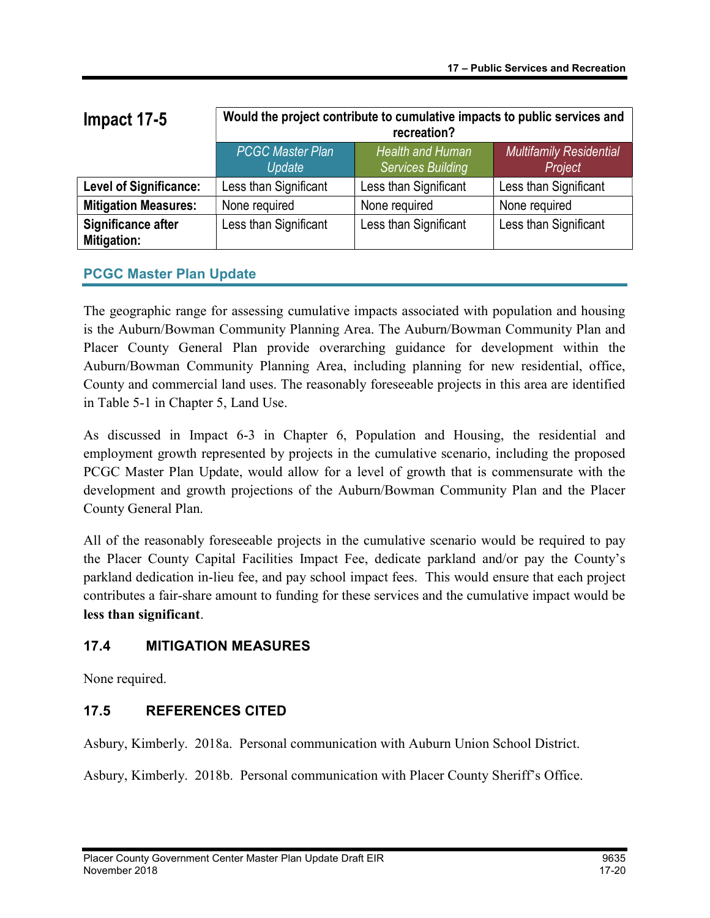| Impact 17-5                       | Would the project contribute to cumulative impacts to public services and<br>recreation? |                                                     |                                           |
|-----------------------------------|------------------------------------------------------------------------------------------|-----------------------------------------------------|-------------------------------------------|
|                                   | <b>PCGC Master Plan</b><br>Update                                                        | <b>Health and Human</b><br><b>Services Building</b> | <b>Multifamily Residential</b><br>Project |
| <b>Level of Significance:</b>     | Less than Significant                                                                    | Less than Significant                               | Less than Significant                     |
| <b>Mitigation Measures:</b>       | None required                                                                            | None required                                       | None required                             |
| Significance after<br>Mitigation: | Less than Significant                                                                    | Less than Significant                               | Less than Significant                     |

## PCGC Master Plan Update

The geographic range for assessing cumulative impacts associated with population and housing is the Auburn/Bowman Community Planning Area. The Auburn/Bowman Community Plan and Placer County General Plan provide overarching guidance for development within the Auburn/Bowman Community Planning Area, including planning for new residential, office, County and commercial land uses. The reasonably foreseeable projects in this area are identified in Table 5-1 in Chapter 5, Land Use.

As discussed in Impact 6-3 in Chapter 6, Population and Housing, the residential and employment growth represented by projects in the cumulative scenario, including the proposed PCGC Master Plan Update, would allow for a level of growth that is commensurate with the development and growth projections of the Auburn/Bowman Community Plan and the Placer County General Plan.

All of the reasonably foreseeable projects in the cumulative scenario would be required to pay the Placer County Capital Facilities Impact Fee, dedicate parkland and/or pay the County's parkland dedication in-lieu fee, and pay school impact fees. This would ensure that each project contributes a fair-share amount to funding for these services and the cumulative impact would be less than significant.

## 17.4 MITIGATION MEASURES

None required.

# 17.5 REFERENCES CITED

Asbury, Kimberly. 2018a. Personal communication with Auburn Union School District.

Asbury, Kimberly. 2018b. Personal communication with Placer County Sheriff's Office.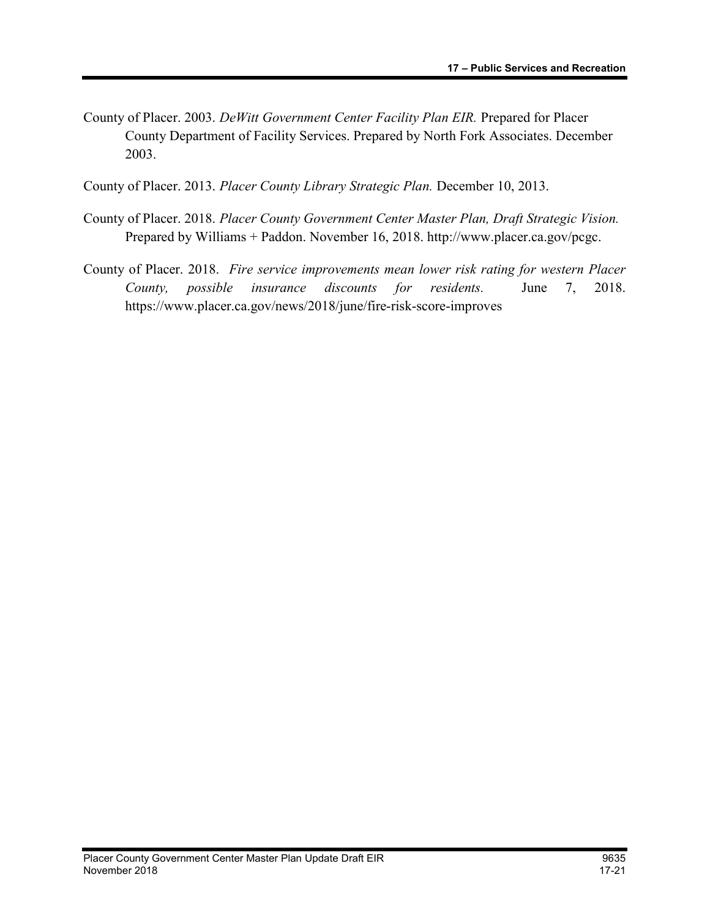County of Placer. 2003. DeWitt Government Center Facility Plan EIR. Prepared for Placer County Department of Facility Services. Prepared by North Fork Associates. December 2003.

County of Placer. 2013. Placer County Library Strategic Plan. December 10, 2013.

- County of Placer. 2018. Placer County Government Center Master Plan, Draft Strategic Vision. Prepared by Williams + Paddon. November 16, 2018. http://www.placer.ca.gov/pcgc.
- County of Placer. 2018. Fire service improvements mean lower risk rating for western Placer County, possible insurance discounts for residents. June 7, 2018. https://www.placer.ca.gov/news/2018/june/fire-risk-score-improves